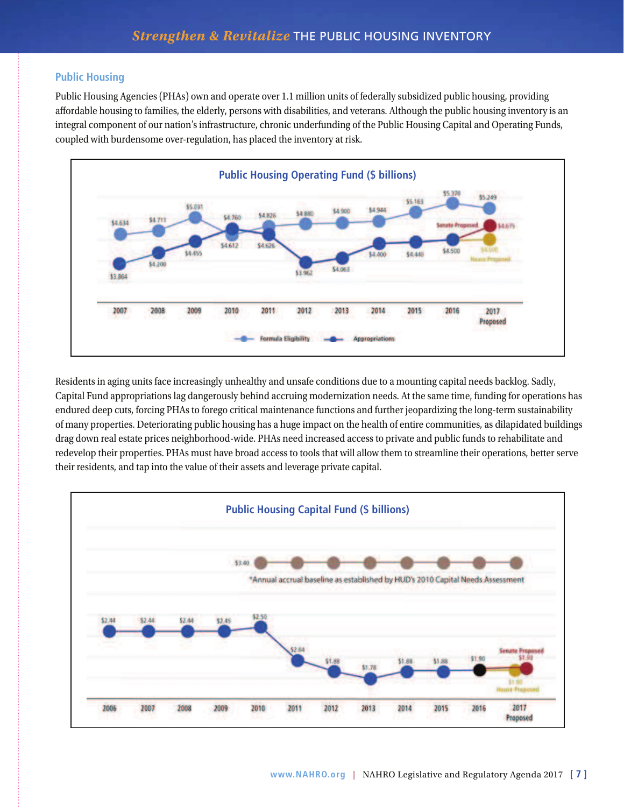## **Public Housing**

Public Housing Agencies (PHAs) own and operate over 1.1 million units of federally subsidized public housing, providing affordable housing to families, the elderly, persons with disabilities, and veterans. Although the public housing inventory is an integral component of our nation's infrastructure, chronic underfunding of the Public Housing Capital and Operating Funds, coupled with burdensome over-regulation, has placed the inventory at risk.



Residents in aging units face increasingly unhealthy and unsafe conditions due to a mounting capital needs backlog. Sadly, Capital Fund appropriations lag dangerously behind accruing modernization needs. At the same time, funding for operations has endured deep cuts, forcing PHAs to forego critical maintenance functions and further jeopardizing the long-term sustainability of many properties. Deteriorating public housing has a huge impact on the health of entire communities, as dilapidated buildings drag down real estate prices neighborhood-wide. PHAs need increased access to private and public funds to rehabilitate and redevelop their properties. PHAs must have broad access to tools that will allow them to streamline their operations, better serve their residents, and tap into the value of their assets and leverage private capital.